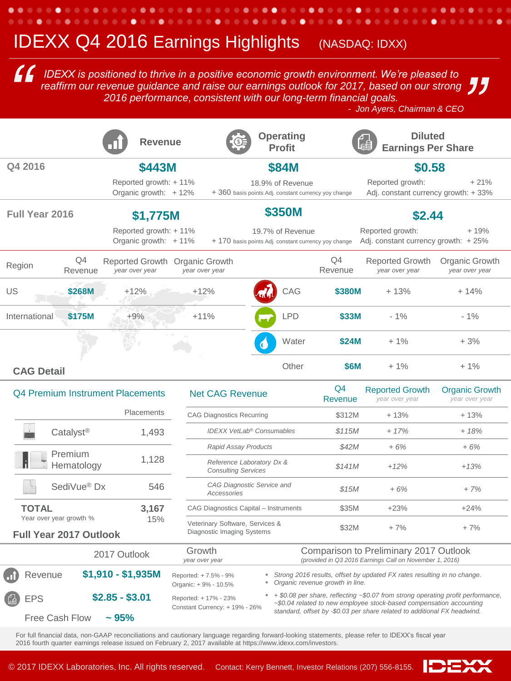## **IDEXX Q4 2016 Earnings Highlights** (NASDAQ: IDXX)

*IDEXX is positioned to thrive in a positive economic growth environment. We're pleased to*  reaffirm our revenue guidance and raise our earnings outlook for 2017, based on our strong *2016 performance, consistent with our long-term financial goals.* **10 IDEXX** is positioned to thrive in a positive economic growth environment. We're pleased to reaffirm our revenue guidance and raise our earnings outlook for 2017, based on our strong 2016 performance, consistent with ou 。<br>。" *11* 

|                                                              | <b>Revenue</b>                                                                                                                                                                     |                                                                                                                                                                                                  | <b>Operating</b><br><b>Profit</b>                                        |                           | <b>Diluted</b><br><b>Earnings Per Share</b>                                                       |                                         |
|--------------------------------------------------------------|------------------------------------------------------------------------------------------------------------------------------------------------------------------------------------|--------------------------------------------------------------------------------------------------------------------------------------------------------------------------------------------------|--------------------------------------------------------------------------|---------------------------|---------------------------------------------------------------------------------------------------|-----------------------------------------|
| Q4 2016                                                      | <b>\$443M</b>                                                                                                                                                                      |                                                                                                                                                                                                  | <b>\$84M</b>                                                             |                           | \$0.58                                                                                            |                                         |
|                                                              | Reported growth: +11%<br>Organic growth: +12%                                                                                                                                      |                                                                                                                                                                                                  | 18.9% of Revenue<br>+ 360 basis points Adj. constant currency yoy change |                           | Reported growth:<br>Adj. constant currency growth: +33%                                           | $+21%$                                  |
| <b>Full Year 2016</b><br>\$1,775M                            |                                                                                                                                                                                    | <b>\$350M</b>                                                                                                                                                                                    |                                                                          |                           | \$2.44                                                                                            |                                         |
|                                                              | Reported growth: +11%<br>Organic growth: $+11\%$                                                                                                                                   |                                                                                                                                                                                                  | 19.7% of Revenue<br>+ 170 basis points Adj. constant currency yoy change |                           | Reported growth:<br>Adj. constant currency growth: $+25%$                                         | $+19%$                                  |
| Q4<br>Region<br>Revenue                                      | year over year                                                                                                                                                                     | Reported Growth Organic Growth<br>year over year                                                                                                                                                 |                                                                          | Q4<br>Revenue             | <b>Reported Growth</b><br>year over year                                                          | Organic Growth<br>year over year        |
| \$268M<br>US                                                 | $+12%$                                                                                                                                                                             | $+12%$                                                                                                                                                                                           | CAG                                                                      | \$380M                    | $+13%$                                                                                            | $+14%$                                  |
| \$175M<br>International                                      | $+9%$                                                                                                                                                                              | $+11%$                                                                                                                                                                                           | <b>LPD</b>                                                               | \$33M                     | $-1%$                                                                                             | $-1%$                                   |
|                                                              |                                                                                                                                                                                    |                                                                                                                                                                                                  | Water                                                                    | <b>\$24M</b>              | $+1\%$                                                                                            | $+3%$                                   |
| <b>CAG Detail</b>                                            |                                                                                                                                                                                    |                                                                                                                                                                                                  | Other                                                                    | \$6M                      | $+1%$                                                                                             | $+1%$                                   |
| <b>Q4 Premium Instrument Placements</b><br><b>Placements</b> |                                                                                                                                                                                    | <b>Net CAG Revenue</b>                                                                                                                                                                           |                                                                          | Q <sub>4</sub><br>Revenue | <b>Reported Growth</b><br>year over year                                                          | <b>Organic Growth</b><br>year over year |
|                                                              |                                                                                                                                                                                    | <b>CAG Diagnostics Recurring</b>                                                                                                                                                                 |                                                                          | \$312M                    | $+13%$                                                                                            | $+13%$                                  |
| Catalyst <sup>®</sup>                                        | 1,493                                                                                                                                                                              |                                                                                                                                                                                                  | <b>IDEXX VetLab<sup>®</sup> Consumables</b>                              | \$115M                    | $+17%$                                                                                            | $+18%$                                  |
| Premium                                                      |                                                                                                                                                                                    | Rapid Assay Products                                                                                                                                                                             |                                                                          | \$42M                     | $+6%$                                                                                             | $+6%$                                   |
| Hematology                                                   | 1,128                                                                                                                                                                              | <b>Consulting Services</b>                                                                                                                                                                       | Reference Laboratory Dx &                                                | <i>S141M</i>              | $+12%$                                                                                            | $+13%$                                  |
| SediVue <sup>®</sup> Dx                                      | 546                                                                                                                                                                                | Accessories                                                                                                                                                                                      | CAG Diagnostic Service and                                               | \$15M                     | $+6%$                                                                                             | $+7%$                                   |
| <b>TOTAL</b>                                                 | 3,167                                                                                                                                                                              | CAG Diagnostics Capital - Instruments                                                                                                                                                            |                                                                          | \$35M                     | $+23%$                                                                                            | $+24%$                                  |
| Year over year growth %<br><b>Full Year 2017 Outlook</b>     | 15%                                                                                                                                                                                | Veterinary Software, Services &<br>Diagnostic Imaging Systems                                                                                                                                    |                                                                          | \$32M                     | $+7%$                                                                                             | $+7%$                                   |
| 2017 Outlook                                                 |                                                                                                                                                                                    | Growth<br>year over year                                                                                                                                                                         |                                                                          |                           | Comparison to Preliminary 2017 Outlook<br>(provided in Q3 2016 Earnings Call on November 1, 2016) |                                         |
| Revenue                                                      | $$1,910 - $1,935M$<br>Strong 2016 results, offset by updated FX rates resulting in no change.<br>Reported: +7.5% - 9%<br>" Organic revenue growth in line.<br>Organic: +9% - 10.5% |                                                                                                                                                                                                  |                                                                          |                           |                                                                                                   |                                         |
| <b>EPS</b>                                                   | $$2.85 - $3.01$                                                                                                                                                                    | $\bullet$ + \$0.08 per share, reflecting $\sim$ \$0.07 from strong operating profit performance,<br>Reported: + 17% - 23%<br>~\$0.04 related to new employee stock-based compensation accounting |                                                                          |                           |                                                                                                   |                                         |
| <b>Free Cash Flow</b>                                        | $\sim 95\%$                                                                                                                                                                        | Constant Currency: + 19% - 26%<br>standard, offset by -\$0.03 per share related to additional FX headwind.                                                                                       |                                                                          |                           |                                                                                                   |                                         |

For full financial data, non-GAAP reconciliations and cautionary language regarding forward-looking statements, please refer to IDEXX's fiscal year 2016 fourth quarter earnings release issued on February 2, 2017 available at https://www.idexx.com/investors.